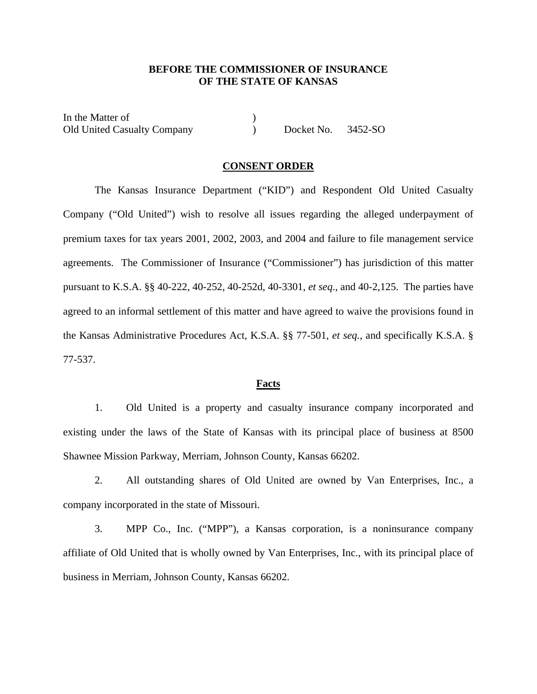## **BEFORE THE COMMISSIONER OF INSURANCE OF THE STATE OF KANSAS**

In the Matter of  $( )$ Old United Casualty Company (a) Docket No. 3452-SO

## **CONSENT ORDER**

The Kansas Insurance Department ("KID") and Respondent Old United Casualty Company ("Old United") wish to resolve all issues regarding the alleged underpayment of premium taxes for tax years 2001, 2002, 2003, and 2004 and failure to file management service agreements. The Commissioner of Insurance ("Commissioner") has jurisdiction of this matter pursuant to K.S.A. §§ 40-222, 40-252, 40-252d, 40-3301, *et seq*., and 40-2,125. The parties have agreed to an informal settlement of this matter and have agreed to waive the provisions found in the Kansas Administrative Procedures Act, K.S.A. §§ 77-501, *et seq.*, and specifically K.S.A. § 77-537.

## **Facts**

1. Old United is a property and casualty insurance company incorporated and existing under the laws of the State of Kansas with its principal place of business at 8500 Shawnee Mission Parkway, Merriam, Johnson County, Kansas 66202.

2. All outstanding shares of Old United are owned by Van Enterprises, Inc., a company incorporated in the state of Missouri.

3. MPP Co., Inc. ("MPP"), a Kansas corporation, is a noninsurance company affiliate of Old United that is wholly owned by Van Enterprises, Inc., with its principal place of business in Merriam, Johnson County, Kansas 66202.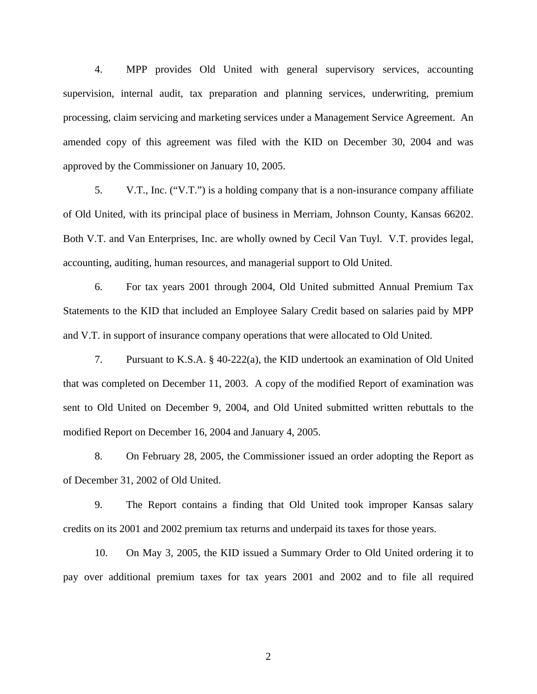4. MPP provides Old United with general supervisory services, accounting supervision, internal audit, tax preparation and planning services, underwriting, premium processing, claim servicing and marketing services under a Management Service Agreement. An amended copy of this agreement was filed with the KID on December 30, 2004 and was approved by the Commissioner on January 10, 2005.

5. V.T., Inc. ("V.T.") is a holding company that is a non-insurance company affiliate of Old United, with its principal place of business in Merriam, Johnson County, Kansas 66202. Both V.T. and Van Enterprises, Inc. are wholly owned by Cecil Van Tuyl. V.T. provides legal, accounting, auditing, human resources, and managerial support to Old United.

6. For tax years 2001 through 2004, Old United submitted Annual Premium Tax Statements to the KID that included an Employee Salary Credit based on salaries paid by MPP and V.T. in support of insurance company operations that were allocated to Old United.

7. Pursuant to K.S.A. § 40-222(a), the KID undertook an examination of Old United that was completed on December 11, 2003. A copy of the modified Report of examination was sent to Old United on December 9, 2004, and Old United submitted written rebuttals to the modified Report on December 16, 2004 and January 4, 2005.

8. On February 28, 2005, the Commissioner issued an order adopting the Report as of December 31, 2002 of Old United.

9. The Report contains a finding that Old United took improper Kansas salary credits on its 2001 and 2002 premium tax returns and underpaid its taxes for those years.

10. On May 3, 2005, the KID issued a Summary Order to Old United ordering it to pay over additional premium taxes for tax years 2001 and 2002 and to file all required

2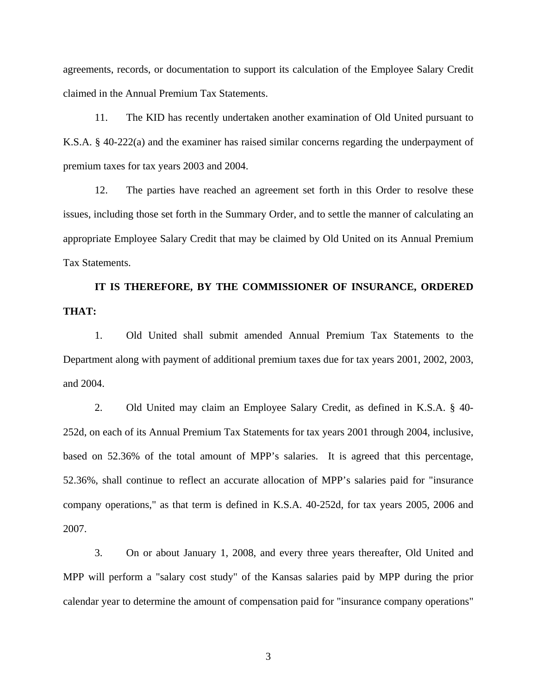agreements, records, or documentation to support its calculation of the Employee Salary Credit claimed in the Annual Premium Tax Statements.

11. The KID has recently undertaken another examination of Old United pursuant to K.S.A. § 40-222(a) and the examiner has raised similar concerns regarding the underpayment of premium taxes for tax years 2003 and 2004.

12. The parties have reached an agreement set forth in this Order to resolve these issues, including those set forth in the Summary Order, and to settle the manner of calculating an appropriate Employee Salary Credit that may be claimed by Old United on its Annual Premium Tax Statements.

**IT IS THEREFORE, BY THE COMMISSIONER OF INSURANCE, ORDERED THAT:** 

1. Old United shall submit amended Annual Premium Tax Statements to the Department along with payment of additional premium taxes due for tax years 2001, 2002, 2003, and 2004.

2. Old United may claim an Employee Salary Credit, as defined in K.S.A. § 40- 252d, on each of its Annual Premium Tax Statements for tax years 2001 through 2004, inclusive, based on 52.36% of the total amount of MPP's salaries. It is agreed that this percentage, 52.36%, shall continue to reflect an accurate allocation of MPP's salaries paid for "insurance company operations," as that term is defined in K.S.A. 40-252d, for tax years 2005, 2006 and 2007.

3. On or about January 1, 2008, and every three years thereafter, Old United and MPP will perform a "salary cost study" of the Kansas salaries paid by MPP during the prior calendar year to determine the amount of compensation paid for "insurance company operations"

3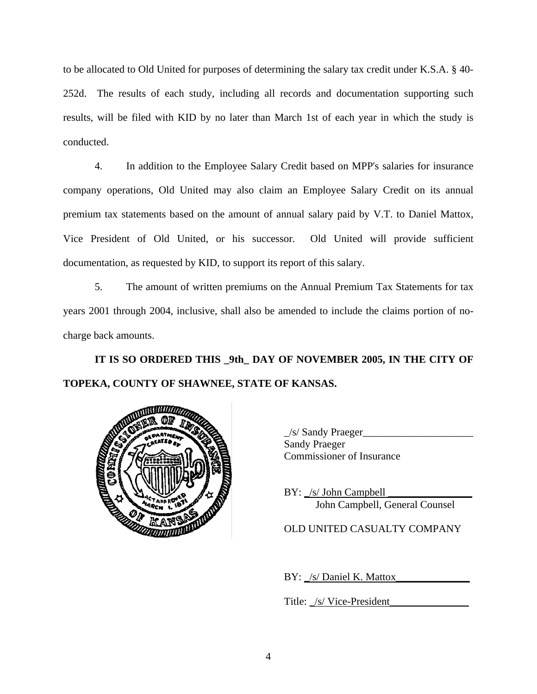to be allocated to Old United for purposes of determining the salary tax credit under K.S.A. § 40- 252d. The results of each study, including all records and documentation supporting such results, will be filed with KID by no later than March 1st of each year in which the study is conducted.

4. In addition to the Employee Salary Credit based on MPP's salaries for insurance company operations, Old United may also claim an Employee Salary Credit on its annual premium tax statements based on the amount of annual salary paid by V.T. to Daniel Mattox, Vice President of Old United, or his successor. Old United will provide sufficient documentation, as requested by KID, to support its report of this salary.

5. The amount of written premiums on the Annual Premium Tax Statements for tax years 2001 through 2004, inclusive, shall also be amended to include the claims portion of nocharge back amounts.

**IT IS SO ORDERED THIS \_9th\_ DAY OF NOVEMBER 2005, IN THE CITY OF TOPEKA, COUNTY OF SHAWNEE, STATE OF KANSAS.** 



\_/s/ Sandy Praeger\_\_\_\_\_\_\_\_\_\_\_\_\_\_\_\_\_\_\_\_\_ Sandy Praeger Commissioner of Insurance

 $BY:$  /s/ John Campbell John Campbell, General Counsel

OLD UNITED CASUALTY COMPANY

BY: \_/s/ Daniel K. Mattox\_

Title: \_/s/ <u>Vice-President</u>